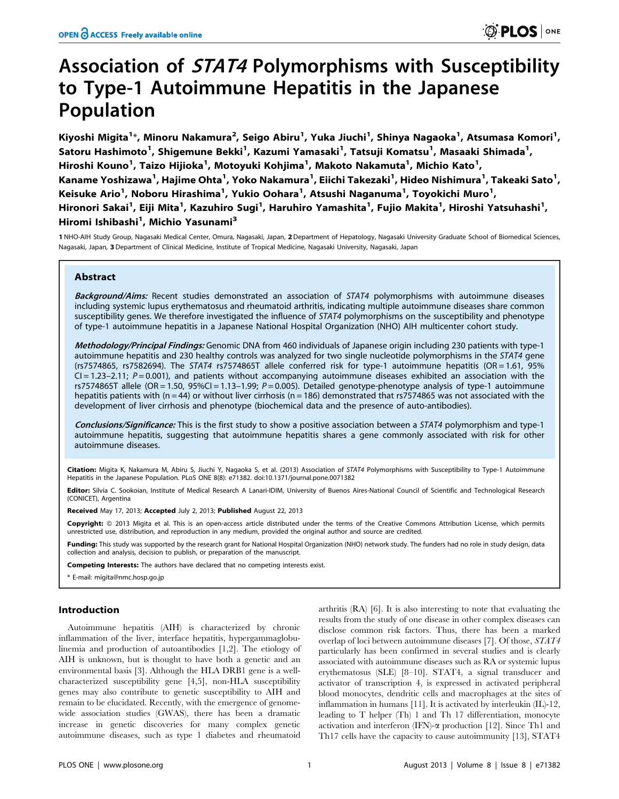# Association of STAT4 Polymorphisms with Susceptibility to Type-1 Autoimmune Hepatitis in the Japanese Population

Kiyoshi Migita<sup>1</sup>\*, Minoru Nakamura<sup>2</sup>, Seigo Abiru<sup>1</sup>, Yuka Jiuchi<sup>1</sup>, Shinya Nagaoka<sup>1</sup>, Atsumasa Komori<sup>1</sup>, Satoru Hashimoto<sup>1</sup>, Shigemune Bekki<sup>1</sup>, Kazumi Yamasaki<sup>1</sup>, Tatsuji Komatsu<sup>1</sup>, Masaaki Shimada<sup>1</sup>, Hiroshi Kouno<sup>1</sup>, Taizo Hijioka<sup>1</sup>, Motoyuki Kohjima<sup>1</sup>, Makoto Nakamuta<sup>1</sup>, Michio Kato<sup>1</sup>, Kaname Yoshizawa<sup>1</sup>, Hajime Ohta<sup>1</sup>, Yoko Nakamura<sup>1</sup>, Eiichi Takezaki<sup>1</sup>, Hideo Nishimura<sup>1</sup>, Takeaki Sato<sup>1</sup>, Keisuke Ario<sup>1</sup>, Noboru Hirashima<sup>1</sup>, Yukio Oohara<sup>1</sup>, Atsushi Naganuma<sup>1</sup>, Toyokichi Muro<sup>1</sup>, Hironori Sakai<sup>1</sup>, Eiji Mita<sup>1</sup>, Kazuhiro Sugi<sup>1</sup>, Haruhiro Yamashita<sup>1</sup>, Fujio Makita<sup>1</sup>, Hiroshi Yatsuhashi<sup>1</sup>, Hiromi Ishibashi<sup>1</sup>, Michio Yasunami<sup>3</sup>

1 NHO-AIH Study Group, Nagasaki Medical Center, Omura, Nagasaki, Japan, 2Department of Hepatology, Nagasaki University Graduate School of Biomedical Sciences, Nagasaki, Japan, 3Department of Clinical Medicine, Institute of Tropical Medicine, Nagasaki University, Nagasaki, Japan

# Abstract

Background/Aims: Recent studies demonstrated an association of STAT4 polymorphisms with autoimmune diseases including systemic lupus erythematosus and rheumatoid arthritis, indicating multiple autoimmune diseases share common susceptibility genes. We therefore investigated the influence of STAT4 polymorphisms on the susceptibility and phenotype of type-1 autoimmune hepatitis in a Japanese National Hospital Organization (NHO) AIH multicenter cohort study.

Methodology/Principal Findings: Genomic DNA from 460 individuals of Japanese origin including 230 patients with type-1 autoimmune hepatitis and 230 healthy controls was analyzed for two single nucleotide polymorphisms in the STAT4 gene (rs7574865, rs7582694). The STAT4 rs7574865T allele conferred risk for type-1 autoimmune hepatitis (OR = 1.61, 95%  $CI = 1.23 - 2.11$ ;  $P = 0.001$ ), and patients without accompanying autoimmune diseases exhibited an association with the rs7574865T allele (OR = 1.50, 95%CI = 1.13-1.99;  $P = 0.005$ ). Detailed genotype-phenotype analysis of type-1 autoimmune hepatitis patients with ( $n = 44$ ) or without liver cirrhosis ( $n = 186$ ) demonstrated that rs7574865 was not associated with the development of liver cirrhosis and phenotype (biochemical data and the presence of auto-antibodies).

Conclusions/Significance: This is the first study to show a positive association between a STAT4 polymorphism and type-1 autoimmune hepatitis, suggesting that autoimmune hepatitis shares a gene commonly associated with risk for other autoimmune diseases.

Citation: Migita K, Nakamura M, Abiru S, Jiuchi Y, Nagaoka S, et al. (2013) Association of STAT4 Polymorphisms with Susceptibility to Type-1 Autoimmune Hepatitis in the Japanese Population. PLoS ONE 8(8): e71382. doi:10.1371/journal.pone.0071382

Editor: Silvia C. Sookoian, Institute of Medical Research A Lanari-IDIM, University of Buenos Aires-National Council of Scientific and Technological Research (CONICET), Argentina

Received May 17, 2013; Accepted July 2, 2013; Published August 22, 2013

Copyright: @ 2013 Migita et al. This is an open-access article distributed under the terms of the Creative Commons Attribution License, which permits unrestricted use, distribution, and reproduction in any medium, provided the original author and source are credited.

Funding: This study was supported by the research grant for National Hospital Organization (NHO) network study. The funders had no role in study design, data collection and analysis, decision to publish, or preparation of the manuscript.

Competing Interests: The authors have declared that no competing interests exist.

\* E-mail: migita@nmc.hosp.go.jp

## Introduction

Autoimmune hepatitis (AIH) is characterized by chronic inflammation of the liver, interface hepatitis, hypergammaglobulinemia and production of autoantibodies [1,2]. The etiology of AIH is unknown, but is thought to have both a genetic and an environmental basis [3]. Although the HLA DRB1 gene is a wellcharacterized susceptibility gene [4,5], non-HLA susceptibility genes may also contribute to genetic susceptibility to AIH and remain to be elucidated. Recently, with the emergence of genomewide association studies (GWAS), there has been a dramatic increase in genetic discoveries for many complex genetic autoimmune diseases, such as type 1 diabetes and rheumatoid

arthritis (RA) [6]. It is also interesting to note that evaluating the results from the study of one disease in other complex diseases can disclose common risk factors. Thus, there has been a marked overlap of loci between autoimmune diseases [7]. Of those, STAT4 particularly has been confirmed in several studies and is clearly associated with autoimmune diseases such as RA or systemic lupus erythematosus (SLE) [8–10]. STAT4, a signal transducer and activator of transcription 4, is expressed in activated peripheral blood monocytes, dendritic cells and macrophages at the sites of inflammation in humans [11]. It is activated by interleukin (IL)-12, leading to T helper (Th) 1 and Th 17 differentiation, monocyte activation and interferon (IFN)- $\alpha$  production [12]. Since Th1 and Th17 cells have the capacity to cause autoimmunity [13], STAT4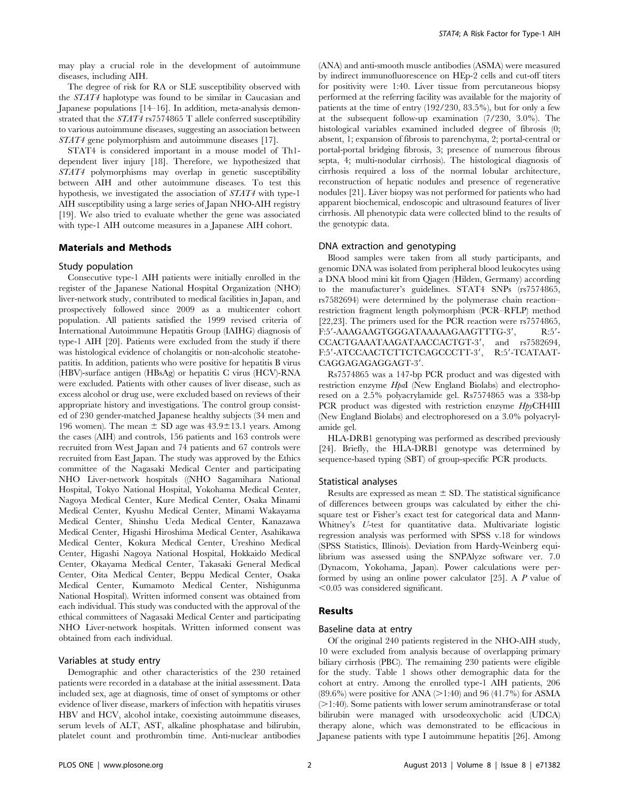may play a crucial role in the development of autoimmune diseases, including AIH.

The degree of risk for RA or SLE susceptibility observed with the STAT4 haplotype was found to be similar in Caucasian and Japanese populations [14–16]. In addition, meta-analysis demonstrated that the STAT4 rs7574865 T allele conferred susceptibility to various autoimmune diseases, suggesting an association between STAT4 gene polymorphism and autoimmune diseases [17].

STAT4 is considered important in a mouse model of Th1 dependent liver injury [18]. Therefore, we hypothesized that STAT4 polymorphisms may overlap in genetic susceptibility between AIH and other autoimmune diseases. To test this hypothesis, we investigated the association of STAT4 with type-1 AIH susceptibility using a large series of Japan NHO-AIH registry [19]. We also tried to evaluate whether the gene was associated with type-1 AIH outcome measures in a Japanese AIH cohort.

# Materials and Methods

### Study population

Consecutive type-1 AIH patients were initially enrolled in the register of the Japanese National Hospital Organization (NHO) liver-network study, contributed to medical facilities in Japan, and prospectively followed since 2009 as a multicenter cohort population. All patients satisfied the 1999 revised criteria of International Autoimmune Hepatitis Group (IAIHG) diagnosis of type-1 AIH [20]. Patients were excluded from the study if there was histological evidence of cholangitis or non-alcoholic steatohepatitis. In addition, patients who were positive for hepatitis B virus (HBV)-surface antigen (HBsAg) or hepatitis C virus (HCV)-RNA were excluded. Patients with other causes of liver disease, such as excess alcohol or drug use, were excluded based on reviews of their appropriate history and investigations. The control group consisted of 230 gender-matched Japanese healthy subjects (34 men and 196 women). The mean  $\pm$  SD age was 43.9 $\pm$ 13.1 years. Among the cases (AIH) and controls, 156 patients and 163 controls were recruited from West Japan and 74 patients and 67 controls were recruited from East Japan. The study was approved by the Ethics committee of the Nagasaki Medical Center and participating NHO Liver-network hospitals ((NHO Sagamihara National Hospital, Tokyo National Hospital, Yokohama Medical Center, Nagoya Medical Center, Kure Medical Center, Osaka Minami Medical Center, Kyushu Medical Center, Minami Wakayama Medical Center, Shinshu Ueda Medical Center, Kanazawa Medical Center, Higashi Hiroshima Medical Center, Asahikawa Medical Center, Kokura Medical Center, Ureshino Medical Center, Higashi Nagoya National Hospital, Hokkaido Medical Center, Okayama Medical Center, Takasaki General Medical Center, Oita Medical Center, Beppu Medical Center, Osaka Medical Center, Kumamoto Medical Center, Nishigunma National Hospital). Written informed consent was obtained from each individual. This study was conducted with the approval of the ethical committees of Nagasaki Medical Center and participating NHO Liver-network hospitals. Written informed consent was obtained from each individual.

# Variables at study entry

Demographic and other characteristics of the 230 retained patients were recorded in a database at the initial assessment. Data included sex, age at diagnosis, time of onset of symptoms or other evidence of liver disease, markers of infection with hepatitis viruses HBV and HCV, alcohol intake, coexisting autoimmune diseases, serum levels of ALT, AST, alkaline phosphatase and bilirubin, platelet count and prothrombin time. Anti-nuclear antibodies (ANA) and anti-smooth muscle antibodies (ASMA) were measured by indirect immunofluorescence on HEp-2 cells and cut-off titers for positivity were 1:40. Liver tissue from percutaneous biopsy performed at the referring facility was available for the majority of patients at the time of entry (192/230, 83.5%), but for only a few at the subsequent follow-up examination (7/230, 3.0%). The histological variables examined included degree of fibrosis (0; absent, 1; expansion of fibrosis to parenchyma, 2; portal-central or portal-portal bridging fibrosis, 3; presence of numerous fibrous septa, 4; multi-nodular cirrhosis). The histological diagnosis of cirrhosis required a loss of the normal lobular architecture, reconstruction of hepatic nodules and presence of regenerative nodules [21]. Liver biopsy was not performed for patients who had apparent biochemical, endoscopic and ultrasound features of liver cirrhosis. All phenotypic data were collected blind to the results of the genotypic data.

### DNA extraction and genotyping

Blood samples were taken from all study participants, and genomic DNA was isolated from peripheral blood leukocytes using a DNA blood mini kit from Qiagen (Hilden, Germany) according to the manufacturer's guidelines. STAT4 SNPs (rs7574865, rs7582694) were determined by the polymerase chain reaction– restriction fragment length polymorphism (PCR–RFLP) method [22,23]. The primers used for the PCR reaction were rs7574865, F:5'-AAAGAAGTGGGATAAAAAGAAGTTTG-3', R:5'-CCACTGAAATAAGATAACCACTGT-3', and rs7582694, F:5'-ATCCAACTCTTCTCAGCCCTT-3', R:5'-TCATAAT-CAGGAGAGAGGAGT-3'.

Rs7574865 was a 147-bp PCR product and was digested with restriction enzyme *HpaI* (New England Biolabs) and electrophoresed on a 2.5% polyacrylamide gel. Rs7574865 was a 338-bp PCR product was digested with restriction enzyme  $HppCH4III$ (New England Biolabs) and electrophoresed on a 3.0% polyacrylamide gel.

HLA-DRB1 genotyping was performed as described previously [24]. Briefly, the HLA-DRB1 genotype was determined by sequence-based typing (SBT) of group-specific PCR products.

#### Statistical analyses

Results are expressed as mean  $\pm$  SD. The statistical significance of differences between groups was calculated by either the chisquare test or Fisher's exact test for categorical data and Mann-Whitney's U-test for quantitative data. Multivariate logistic regression analysis was performed with SPSS v.18 for windows (SPSS Statistics, Illinois). Deviation from Hardy-Weinberg equilibrium was assessed using the SNPAlyze software ver. 7.0 (Dynacom, Yokohama, Japan). Power calculations were performed by using an online power calculator [25]. A P value of  $<$ 0.05 was considered significant.

## Results

## Baseline data at entry

Of the original 240 patients registered in the NHO-AIH study, 10 were excluded from analysis because of overlapping primary biliary cirrhosis (PBC). The remaining 230 patients were eligible for the study. Table 1 shows other demographic data for the cohort at entry. Among the enrolled type-1 AIH patients, 206  $(89.6\%)$  were positive for ANA ( $>1:40$ ) and 96 (41.7%) for ASMA  $(>1:40)$ . Some patients with lower serum aminotransferase or total bilirubin were managed with ursodeoxycholic acid (UDCA) therapy alone, which was demonstrated to be efficacious in Japanese patients with type I autoimmune hepatitis [26]. Among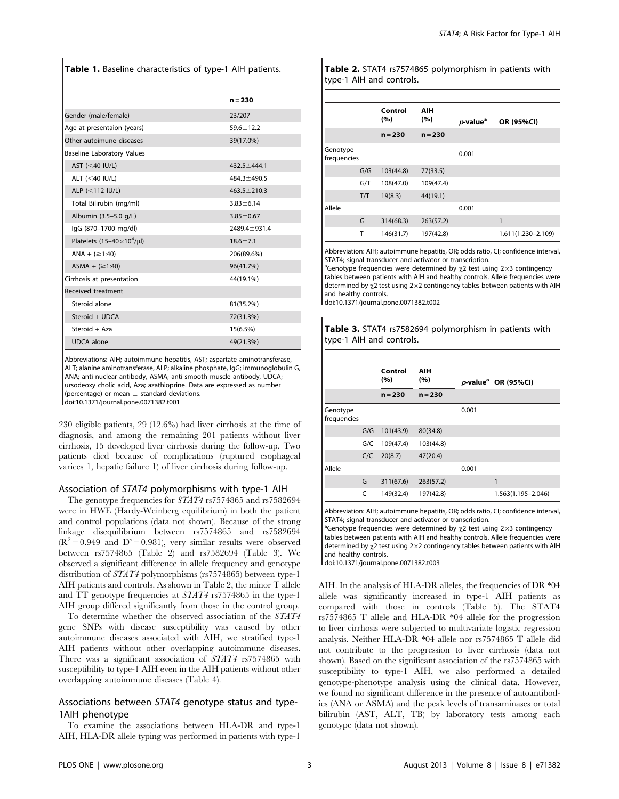Table 1. Baseline characteristics of type-1 AIH patients.

|                                       | $n = 230$         |
|---------------------------------------|-------------------|
| Gender (male/female)                  | 23/207            |
| Age at presentaion (years)            | $59.6 \pm 12.2$   |
| Other autoimune diseases              | 39(17.0%)         |
| <b>Baseline Laboratory Values</b>     |                   |
| AST $(<$ 40 IU/L)                     | $432.5 \pm 444.1$ |
| ALT $(<$ 40 IU/L)                     | $484.3 \pm 490.5$ |
| ALP $(<112$ IU/L)                     | $463.5 \pm 210.3$ |
| Total Bilirubin (mg/ml)               | $3.83 \pm 6.14$   |
| Albumin (3.5-5.0 g/L)                 | $3.85 \pm 0.67$   |
| lgG (870-1700 mg/dl)                  | 2489.4 ± 931.4    |
| Platelets $(15-40 \times 10^4/\mu l)$ | $18.6 \pm 7.1$    |
| ANA + $( \ge 1:40)$                   | 206(89.6%)        |
| ASMA + $(≥1:40)$                      | 96(41.7%)         |
| Cirrhosis at presentation             | 44(19.1%)         |
| <b>Received treatment</b>             |                   |
| Steroid alone                         | 81(35.2%)         |
| Steroid + UDCA                        | 72(31.3%)         |
| Steroid + Aza                         | 15(6.5%)          |
| <b>UDCA</b> alone                     | 49(21.3%)         |

Abbreviations: AIH; autoimmune hepatitis, AST; aspartate aminotransferase, ALT; alanine aminotransferase, ALP; alkaline phosphate, IgG; immunoglobulin G, ANA; anti-nuclear antibody, ASMA; anti-smooth muscle antibody, UDCA; ursodeoxy cholic acid, Aza; azathioprine. Data are expressed as number (percentage) or mean  $\pm$  standard deviations. doi:10.1371/journal.pone.0071382.t001

230 eligible patients, 29 (12.6%) had liver cirrhosis at the time of diagnosis, and among the remaining 201 patients without liver cirrhosis, 15 developed liver cirrhosis during the follow-up. Two patients died because of complications (ruptured esophageal varices 1, hepatic failure 1) of liver cirrhosis during follow-up.

## Association of STAT4 polymorphisms with type-1 AIH

The genotype frequencies for STAT4 rs7574865 and rs7582694 were in HWE (Hardy-Weinberg equilibrium) in both the patient and control populations (data not shown). Because of the strong linkage disequilibrium between rs7574865 and rs7582694  $(R^2 = 0.949$  and  $D' = 0.981$ , very similar results were observed between rs7574865 (Table 2) and rs7582694 (Table 3). We observed a significant difference in allele frequency and genotype distribution of  $STAT4$  polymorphisms (rs7574865) between type-1 AIH patients and controls. As shown in Table 2, the minor T allele and TT genotype frequencies at STAT4 rs7574865 in the type-1 AIH group differed significantly from those in the control group.

To determine whether the observed association of the STAT4 gene SNPs with disease susceptibility was caused by other autoimmune diseases associated with AIH, we stratified type-1 AIH patients without other overlapping autoimmune diseases. There was a significant association of STAT4 rs7574865 with susceptibility to type-1 AIH even in the AIH patients without other overlapping autoimmune diseases (Table 4).

# Associations between STAT4 genotype status and type-1AIH phenotype

To examine the associations between HLA-DR and type-1 AIH, HLA-DR allele typing was performed in patients with type-1

Table 2. STAT4 rs7574865 polymorphism in patients with type-1 AIH and controls.

|                         |     | Control<br>(%) | AIH<br>(%) | $p$ -value <sup>a</sup> | OR (95%CI)         |
|-------------------------|-----|----------------|------------|-------------------------|--------------------|
|                         |     | $n = 230$      | $n = 230$  |                         |                    |
| Genotype<br>frequencies |     |                |            | 0.001                   |                    |
|                         | G/G | 103(44.8)      | 77(33.5)   |                         |                    |
|                         | G/T | 108(47.0)      | 109(47.4)  |                         |                    |
|                         | T/T | 19(8.3)        | 44(19.1)   |                         |                    |
| Allele                  |     |                |            | 0.001                   |                    |
|                         | G   | 314(68.3)      | 263(57.2)  |                         | 1                  |
|                         | Т   | 146(31.7)      | 197(42.8)  |                         | 1.611(1.230-2.109) |

Abbreviation: AIH; autoimmune hepatitis, OR; odds ratio, CI; confidence interval, STAT4; signal transducer and activator or transcription.

<sup>a</sup>Genotype frequencies were determined by  $\chi$ 2 test using 2×3 contingency tables between patients with AIH and healthy controls. Allele frequencies were determined by  $\chi$ 2 test using 2×2 contingency tables between patients with AIH and healthy controls.

doi:10.1371/journal.pone.0071382.t002

Table 3. STAT4 rs7582694 polymorphism in patients with type-1 AIH and controls.

|                         |     | Control<br>(%) | AIH<br>(%) |       | $p$ -value <sup>a</sup> OR (95%CI) |
|-------------------------|-----|----------------|------------|-------|------------------------------------|
|                         |     | $n = 230$      | $n = 230$  |       |                                    |
| Genotype<br>frequencies |     |                |            | 0.001 |                                    |
|                         | G/G | 101(43.9)      | 80(34.8)   |       |                                    |
|                         | G/C | 109(47.4)      | 103(44.8)  |       |                                    |
|                         | C/C | 20(8.7)        | 47(20.4)   |       |                                    |
| Allele                  |     |                |            | 0.001 |                                    |
|                         | G   | 311(67.6)      | 263(57.2)  |       | 1                                  |
|                         | C   | 149(32.4)      | 197(42.8)  |       | 1.563(1.195-2.046)                 |

Abbreviation: AIH; autoimmune hepatitis, OR; odds ratio, CI; confidence interval, STAT4; signal transducer and activator or transcription.

<sup>a</sup>Genotype frequencies were determined by  $\chi$ 2 test using 2×3 contingency tables between patients with AIH and healthy controls. Allele frequencies were determined by  $\chi$ 2 test using 2×2 contingency tables between patients with AIH and healthy controls.

doi:10.1371/journal.pone.0071382.t003

AIH. In the analysis of HLA-DR alleles, the frequencies of DR  $*04$ allele was significantly increased in type-1 AIH patients as compared with those in controls (Table 5). The STAT4 rs7574865 T allele and HLA-DR \*04 allele for the progression to liver cirrhosis were subjected to multivariate logistic regression analysis. Neither HLA-DR \*04 allele nor rs7574865 T allele did not contribute to the progression to liver cirrhosis (data not shown). Based on the significant association of the rs7574865 with susceptibility to type-1 AIH, we also performed a detailed genotype-phenotype analysis using the clinical data. However, we found no significant difference in the presence of autoantibodies (ANA or ASMA) and the peak levels of transaminases or total bilirubin (AST, ALT, TB) by laboratory tests among each genotype (data not shown).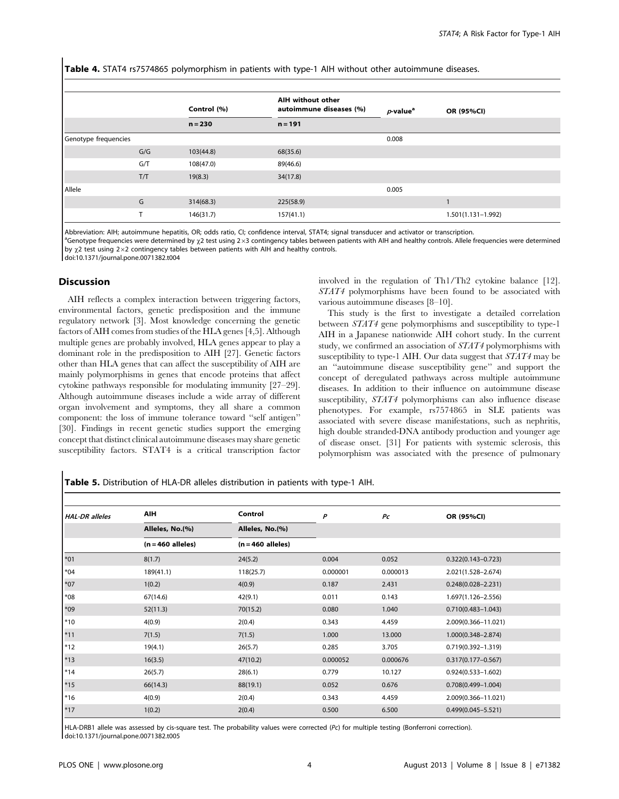Table 4. STAT4 rs7574865 polymorphism in patients with type-1 AIH without other autoimmune diseases.

|                      |     | Control (%) | AIH without other<br>autoimmune diseases (%) | $p$ -value <sup>a</sup> | OR (95%CI)         |
|----------------------|-----|-------------|----------------------------------------------|-------------------------|--------------------|
|                      |     | $n = 230$   | $n = 191$                                    |                         |                    |
| Genotype frequencies |     |             |                                              | 0.008                   |                    |
|                      | G/G | 103(44.8)   | 68(35.6)                                     |                         |                    |
|                      | G/T | 108(47.0)   | 89(46.6)                                     |                         |                    |
|                      | T/T | 19(8.3)     | 34(17.8)                                     |                         |                    |
| Allele               |     |             |                                              | 0.005                   |                    |
|                      | G   | 314(68.3)   | 225(58.9)                                    |                         |                    |
|                      | т   | 146(31.7)   | 157(41.1)                                    |                         | 1.501(1.131-1.992) |

Abbreviation: AIH; autoimmune hepatitis, OR; odds ratio, CI; confidence interval, STAT4; signal transducer and activator or transcription.

<sup>a</sup>Genotype frequencies were determined by x<sub>2</sub> test using 2×3 contingency tables between patients with AIH and healthy controls. Allele frequencies were determined by  $\chi$ 2 test using 2×2 contingency tables between patients with AIH and healthy controls.

doi:10.1371/journal.pone.0071382.t004

# Discussion

AIH reflects a complex interaction between triggering factors, environmental factors, genetic predisposition and the immune regulatory network [3]. Most knowledge concerning the genetic factors of AIH comes from studies of the HLA genes [4,5]. Although multiple genes are probably involved, HLA genes appear to play a dominant role in the predisposition to AIH [27]. Genetic factors other than HLA genes that can affect the susceptibility of AIH are mainly polymorphisms in genes that encode proteins that affect cytokine pathways responsible for modulating immunity [27–29]. Although autoimmune diseases include a wide array of different organ involvement and symptoms, they all share a common component: the loss of immune tolerance toward ''self antigen'' [30]. Findings in recent genetic studies support the emerging concept that distinct clinical autoimmune diseases may share genetic susceptibility factors. STAT4 is a critical transcription factor involved in the regulation of Th1/Th2 cytokine balance [12]. STAT4 polymorphisms have been found to be associated with various autoimmune diseases [8–10].

This study is the first to investigate a detailed correlation between STAT4 gene polymorphisms and susceptibility to type-1 AIH in a Japanese nationwide AIH cohort study. In the current study, we confirmed an association of STAT4 polymorphisms with susceptibility to type-1 AIH. Our data suggest that STAT4 may be an ''autoimmune disease susceptibility gene'' and support the concept of deregulated pathways across multiple autoimmune diseases. In addition to their influence on autoimmune disease susceptibility, STAT4 polymorphisms can also influence disease phenotypes. For example, rs7574865 in SLE patients was associated with severe disease manifestations, such as nephritis, high double stranded-DNA antibody production and younger age of disease onset. [31] For patients with systemic sclerosis, this polymorphism was associated with the presence of pulmonary

Table 5. Distribution of HLA-DR alleles distribution in patients with type-1 AIH.

| <b>HAL-DR</b> alleles | AIH                 | Control             | P        | P <sub>C</sub> | OR (95%CI)             |
|-----------------------|---------------------|---------------------|----------|----------------|------------------------|
|                       | Alleles, No.(%)     | Alleles, No.(%)     |          |                |                        |
|                       | $(n = 460$ alleles) | $(n = 460$ alleles) |          |                |                        |
| $*01$                 | 8(1.7)              | 24(5.2)             | 0.004    | 0.052          | $0.322(0.143 - 0.723)$ |
| $*04$                 | 189(41.1)           | 118(25.7)           | 0.000001 | 0.000013       | 2.021(1.528-2.674)     |
| $*07$                 | 1(0.2)              | 4(0.9)              | 0.187    | 2.431          | $0.248(0.028 - 2.231)$ |
| $*08$                 | 67(14.6)            | 42(9.1)             | 0.011    | 0.143          | 1.697(1.126-2.556)     |
| $*09$                 | 52(11.3)            | 70(15.2)            | 0.080    | 1.040          | $0.710(0.483 - 1.043)$ |
| $*10$                 | 4(0.9)              | 2(0.4)              | 0.343    | 4.459          | 2.009(0.366-11.021)    |
| $*11$                 | 7(1.5)              | 7(1.5)              | 1.000    | 13.000         | $1.000(0.348 - 2.874)$ |
| $*12$                 | 19(4.1)             | 26(5.7)             | 0.285    | 3.705          | $0.719(0.392 - 1.319)$ |
| $*13$                 | 16(3.5)             | 47(10.2)            | 0.000052 | 0.000676       | $0.317(0.177 - 0.567)$ |
| $*14$                 | 26(5.7)             | 28(6.1)             | 0.779    | 10.127         | $0.924(0.533 - 1.602)$ |
| $*15$                 | 66(14.3)            | 88(19.1)            | 0.052    | 0.676          | $0.708(0.499 - 1.004)$ |
| $*16$                 | 4(0.9)              | 2(0.4)              | 0.343    | 4.459          | 2.009(0.366-11.021)    |
| $*17$                 | 1(0.2)              | 2(0.4)              | 0.500    | 6.500          | $0.499(0.045 - 5.521)$ |

HLA-DRB1 allele was assessed by cis-square test. The probability values were corrected (Pc) for multiple testing (Bonferroni correction). doi:10.1371/journal.pone.0071382.t005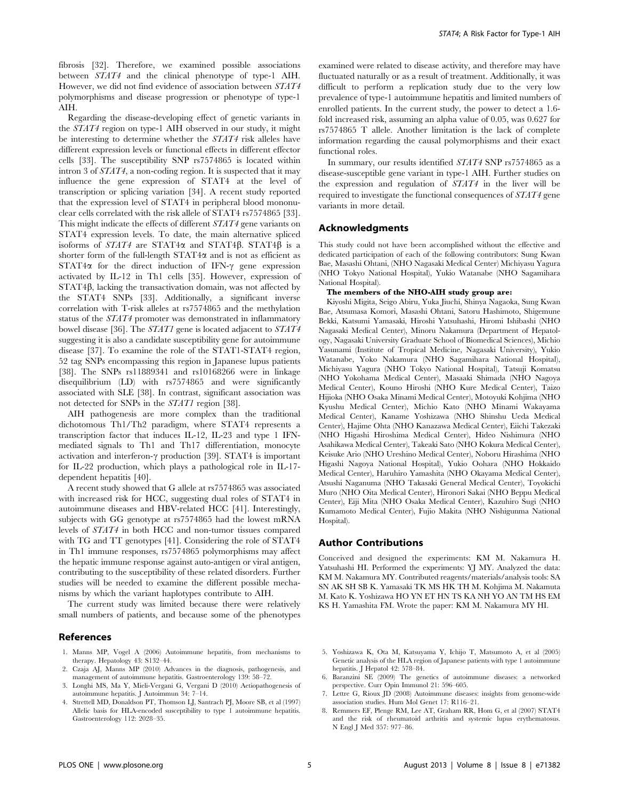fibrosis [32]. Therefore, we examined possible associations between STAT4 and the clinical phenotype of type-1 AIH. However, we did not find evidence of association between STAT4 polymorphisms and disease progression or phenotype of type-1 AIH.

Regarding the disease-developing effect of genetic variants in the STAT4 region on type-1 AIH observed in our study, it might be interesting to determine whether the STAT4 risk alleles have different expression levels or functional effects in different effector cells [33]. The susceptibility SNP rs7574865 is located within intron 3 of STAT4, a non-coding region. It is suspected that it may influence the gene expression of STAT4 at the level of transcription or splicing variation [34]. A recent study reported that the expression level of STAT4 in peripheral blood mononuclear cells correlated with the risk allele of STAT4 rs7574865 [33]. This might indicate the effects of different STAT4 gene variants on STAT4 expression levels. To date, the main alternative spliced isoforms of  $STAT4$  are STAT4 $\alpha$  and STAT4 $\beta$ . STAT4 $\beta$  is a shorter form of the full-length  $STAT4\alpha$  and is not as efficient as  $STAT4\alpha$  for the direct induction of IFN- $\gamma$  gene expression activated by IL-12 in Th1 cells [35]. However, expression of  $STAT4\beta$ , lacking the transactivation domain, was not affected by the STAT4 SNPs [33]. Additionally, a significant inverse correlation with T-risk alleles at rs7574865 and the methylation status of the STAT4 promoter was demonstrated in inflammatory bowel disease [36]. The STAT1 gene is located adjacent to STAT4 suggesting it is also a candidate susceptibility gene for autoimmune disease [37]. To examine the role of the STAT1-STAT4 region, 52 tag SNPs encompassing this region in Japanese lupus patients [38]. The SNPs rs11889341 and rs10168266 were in linkage disequilibrium (LD) with rs7574865 and were significantly associated with SLE [38]. In contrast, significant association was not detected for SNPs in the STAT1 region [38].

AIH pathogenesis are more complex than the traditional dichotomous Th1/Th2 paradigm, where STAT4 represents a transcription factor that induces IL-12, IL-23 and type 1 IFNmediated signals to Th1 and Th17 differentiation, monocyte activation and interferon- $\gamma$  production [39]. STAT4 is important for IL-22 production, which plays a pathological role in IL-17 dependent hepatitis [40].

A recent study showed that G allele at rs7574865 was associated with increased risk for HCC, suggesting dual roles of STAT4 in autoimmune diseases and HBV-related HCC [41]. Interestingly, subjects with GG genotype at rs7574865 had the lowest mRNA levels of STAT4 in both HCC and non-tumor tissues compared with TG and TT genotypes [41]. Considering the role of STAT4 in Th1 immune responses, rs7574865 polymorphisms may affect the hepatic immune response against auto-antigen or viral antigen, contributing to the susceptibility of these related disorders. Further studies will be needed to examine the different possible mechanisms by which the variant haplotypes contribute to AIH.

The current study was limited because there were relatively small numbers of patients, and because some of the phenotypes

# References

- 1. Manns MP, Vogel A (2006) Autoimmune hepatitis, from mechanisms to therapy. Hepatology 43: S132–44.
- 2. Czaja AJ, Manns MP (2010) Advances in the diagnosis, pathogenesis, and management of autoimmune hepatitis. Gastroenterology 139: 58–72.
- 3. Longhi MS, Ma Y, Mieli-Vergani G, Vergani D (2010) Aetiopathogenesis of autoimmune hepatitis. J Autoimmun 34: 7–14.
- 4. Strettell MD, Donaldson PT, Thomson LJ, Santrach PJ, Moore SB, et al (1997) Allelic basis for HLA-encoded susceptibility to type 1 autoimmune hepatitis. Gastroenterology 112: 2028–35.

examined were related to disease activity, and therefore may have fluctuated naturally or as a result of treatment. Additionally, it was difficult to perform a replication study due to the very low prevalence of type-1 autoimmune hepatitis and limited numbers of enrolled patients. In the current study, the power to detect a 1.6 fold increased risk, assuming an alpha value of 0.05, was 0.627 for rs7574865 T allele. Another limitation is the lack of complete information regarding the causal polymorphisms and their exact functional roles.

In summary, our results identified STAT4 SNP rs7574865 as a disease-susceptible gene variant in type-1 AIH. Further studies on the expression and regulation of STAT4 in the liver will be required to investigate the functional consequences of STAT4 gene variants in more detail.

#### Acknowledgments

This study could not have been accomplished without the effective and dedicated participation of each of the following contributors: Sung Kwan Bae, Masashi Ohtani, (NHO Nagasaki Medical Center) Michiyasu Yagura (NHO Tokyo National Hospital), Yukio Watanabe (NHO Sagamihara National Hospital).

# The members of the NHO-AIH study group are:

Kiyoshi Migita, Seigo Abiru, Yuka Jiuchi, Shinya Nagaoka, Sung Kwan Bae, Atsumasa Komori, Masashi Ohtani, Satoru Hashimoto, Shigemune Bekki, Katsumi Yamasaki, Hiroshi Yatsuhashi, Hiromi Ishibashi (NHO Nagasaki Medical Center), Minoru Nakamura (Department of Hepatology, Nagasaki University Graduate School of Biomedical Sciences), Michio Yasunami (Institute of Tropical Medicine, Nagasaki University), Yukio Watanabe, Yoko Nakamura (NHO Sagamihara National Hospital), Michiyasu Yagura (NHO Tokyo National Hospital), Tatsuji Komatsu (NHO Yokohama Medical Center), Masaaki Shimada (NHO Nagoya Medical Center), Kouno Hiroshi (NHO Kure Medical Center), Taizo Hijioka (NHO Osaka Minami Medical Center), Motoyuki Kohjima (NHO Kyushu Medical Center), Michio Kato (NHO Minami Wakayama Medical Center), Kaname Yoshizawa (NHO Shinshu Ueda Medical Center), Hajime Ohta (NHO Kanazawa Medical Center), Eiichi Takezaki (NHO Higashi Hiroshima Medical Center), Hideo Nishimura (NHO Asahikawa Medical Center), Takeaki Sato (NHO Kokura Medical Center), Keisuke Ario (NHO Ureshino Medical Center), Noboru Hirashima (NHO Higashi Nagoya National Hospital), Yukio Oohara (NHO Hokkaido Medical Center), Haruhiro Yamashita (NHO Okayama Medical Center), Atsushi Naganuma (NHO Takasaki General Medical Center), Toyokichi Muro (NHO Oita Medical Center), Hironori Sakai (NHO Beppu Medical Center), Eiji Mita (NHO Osaka Medical Center), Kazuhiro Sugi (NHO Kumamoto Medical Center), Fujio Makita (NHO Nishigunma National Hospital).

#### Author Contributions

Conceived and designed the experiments: KM M. Nakamura H. Yatsuhashi HI. Performed the experiments: YJ MY. Analyzed the data: KM M. Nakamura MY. Contributed reagents/materials/analysis tools: SA SN AK SH SB K. Yamasaki TK MS HK TH M. Kohjima M. Nakamuta M. Kato K. Yoshizawa HO YN ET HN TS KA NH YO AN TM HS EM KS H. Yamashita FM. Wrote the paper: KM M. Nakamura MY HI.

- 5. Yoshizawa K, Ota M, Katsuyama Y, Ichijo T, Matsumoto A, et al (2005) Genetic analysis of the HLA region of Japanese patients with type 1 autoimmune hepatitis. J Hepatol 42: 578-84.
- 6. Baranzini SE (2009) The genetics of autoimmune diseases: a networked perspective. Curr Opin Immunol 21: 596–605.
- 7. Lettre G, Rioux JD (2008) Autoimmune diseases: insights from genome-wide association studies. Hum Mol Genet 17: R116–21.
- 8. Remmers EF, Plenge RM, Lee AT, Graham RR, Hom G, et al (2007) STAT4 and the risk of rheumatoid arthritis and systemic lupus erythematosus. N Engl J Med 357: 977–86.